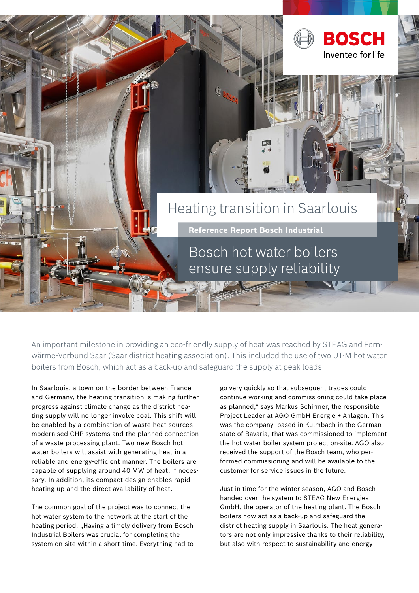

An important milestone in providing an eco-friendly supply of heat was reached by STEAG and Fernwärme-Verbund Saar (Saar district heating association). This included the use of two UT-M hot water boilers from Bosch, which act as a back-up and safeguard the supply at peak loads.

In Saarlouis, a town on the border between France and Germany, the heating transition is making further progress against climate change as the district heating supply will no longer involve coal. This shift will be enabled by a combination of waste heat sources, modernised CHP systems and the planned connection of a waste processing plant. Two new Bosch hot water boilers will assist with generating heat in a reliable and energy-efficient manner. The boilers are capable of supplying around 40 MW of heat, if necessary. In addition, its compact design enables rapid heating-up and the direct availability of heat.

The common goal of the project was to connect the hot water system to the network at the start of the heating period. "Having a timely delivery from Bosch Industrial Boilers was crucial for completing the system on-site within a short time. Everything had to

go very quickly so that subsequent trades could continue working and commissioning could take place as planned," says Markus Schirmer, the responsible Project Leader at AGO GmbH Energie + Anlagen. This was the company, based in Kulmbach in the German state of Bavaria, that was commissioned to implement the hot water boiler system project on-site. AGO also received the support of the Bosch team, who performed commissioning and will be available to the customer for service issues in the future.

Just in time for the winter season, AGO and Bosch handed over the system to STEAG New Energies GmbH, the operator of the heating plant. The Bosch boilers now act as a back-up and safeguard the district heating supply in Saarlouis. The heat generators are not only impressive thanks to their reliability, but also with respect to sustainability and energy